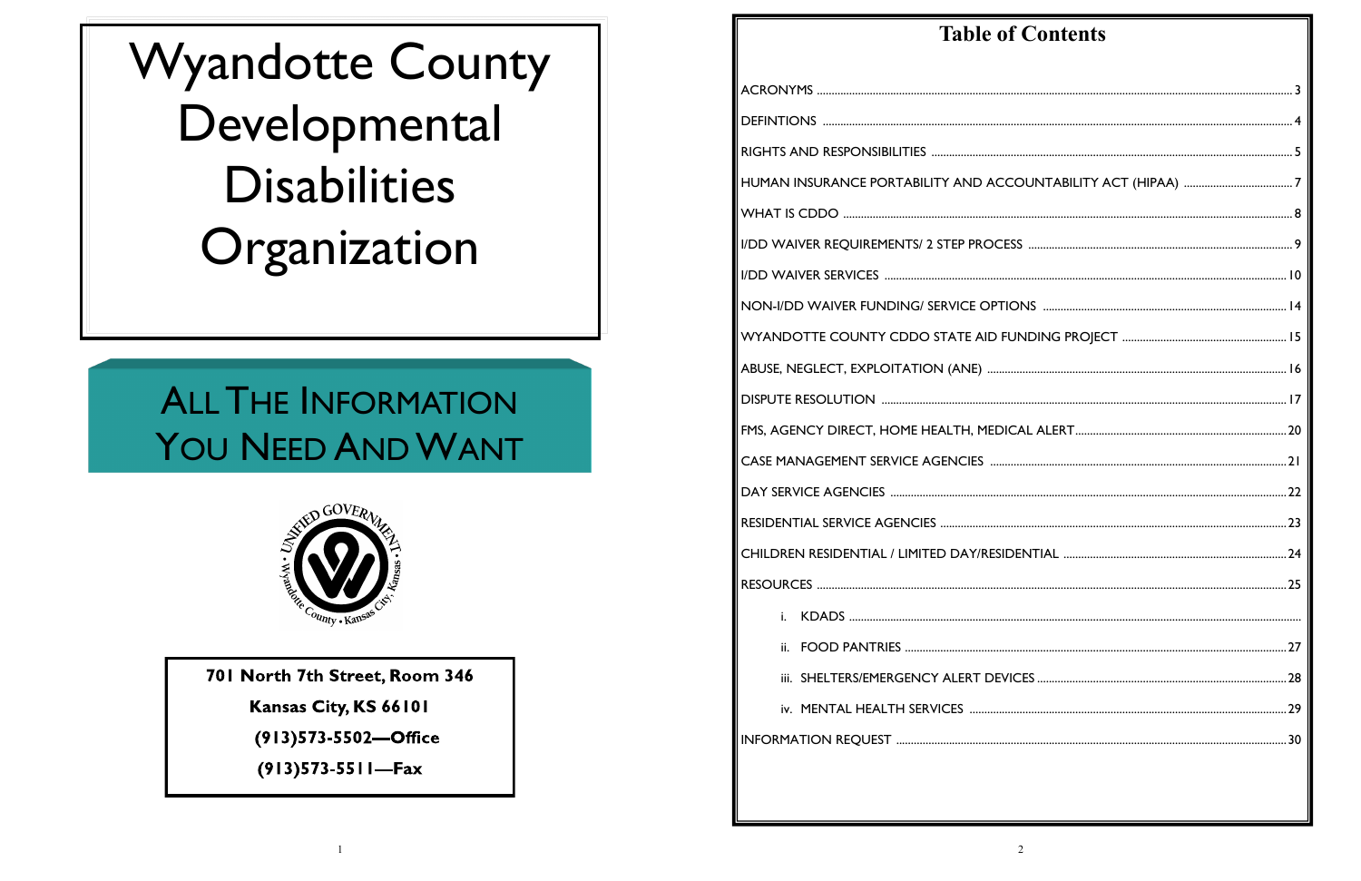**Wyandotte County** Developmental **Disabilities** Organization

# **ALL THE INFORMATION** YOU NEED AND WANT



701 North 7th Street, Room 346

Kansas City, KS 66101

(913)573-5502-Office

 $(913)573-5511$ -Fax

 $\overline{1}$ 

| <b>Table of Contents</b> |  |
|--------------------------|--|
|                          |  |
|                          |  |
|                          |  |
|                          |  |
|                          |  |
|                          |  |
|                          |  |
|                          |  |
|                          |  |
|                          |  |
|                          |  |
|                          |  |
|                          |  |
|                          |  |
|                          |  |
|                          |  |
|                          |  |
| i.                       |  |
|                          |  |
|                          |  |
|                          |  |
|                          |  |
|                          |  |
|                          |  |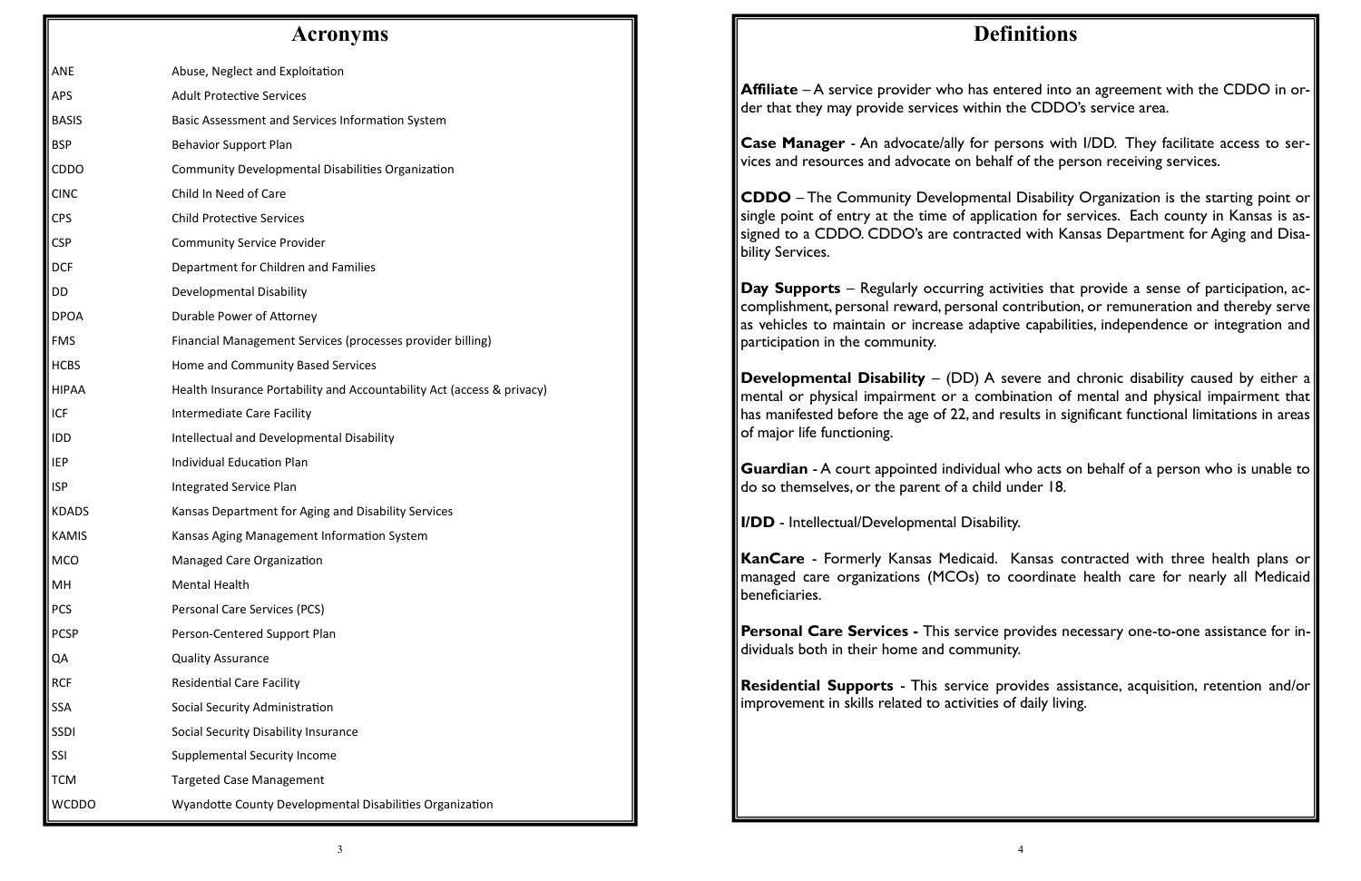#### **Acronyms**

| <b>ANE</b>   | Abuse, Neglect and Exploitation                                        |
|--------------|------------------------------------------------------------------------|
| <b>APS</b>   | <b>Adult Protective Services</b>                                       |
| <b>BASIS</b> | Basic Assessment and Services Information System                       |
| <b>BSP</b>   | <b>Behavior Support Plan</b>                                           |
| <b>CDDO</b>  | Community Developmental Disabilities Organization                      |
| <b>CINC</b>  | Child In Need of Care                                                  |
| <b>CPS</b>   | <b>Child Protective Services</b>                                       |
| <b>CSP</b>   | <b>Community Service Provider</b>                                      |
| <b>DCF</b>   | Department for Children and Families                                   |
| DD           | Developmental Disability                                               |
| <b>DPOA</b>  | Durable Power of Attorney                                              |
| <b>FMS</b>   | Financial Management Services (processes provider billing)             |
| <b>HCBS</b>  | Home and Community Based Services                                      |
| <b>HIPAA</b> | Health Insurance Portability and Accountability Act (access & privacy) |
| <b>ICF</b>   | <b>Intermediate Care Facility</b>                                      |
| <b>IDD</b>   | Intellectual and Developmental Disability                              |
| <b>IEP</b>   | <b>Individual Education Plan</b>                                       |
| <b>ISP</b>   | <b>Integrated Service Plan</b>                                         |
| <b>KDADS</b> | Kansas Department for Aging and Disability Services                    |
| <b>KAMIS</b> | Kansas Aging Management Information System                             |
| <b>MCO</b>   | <b>Managed Care Organization</b>                                       |
| MН           | <b>Mental Health</b>                                                   |
| <b>PCS</b>   | Personal Care Services (PCS)                                           |
| <b>PCSP</b>  | Person-Centered Support Plan                                           |
| QA           | <b>Quality Assurance</b>                                               |
| <b>RCF</b>   | <b>Residential Care Facility</b>                                       |
| <b>SSA</b>   | Social Security Administration                                         |
| <b>SSDI</b>  | Social Security Disability Insurance                                   |
| <b>SSI</b>   | Supplemental Security Income                                           |
| <b>TCM</b>   | <b>Targeted Case Management</b>                                        |
| <b>WCDDO</b> | Wyandotte County Developmental Disabilities Organization               |

**CDDO** – The Community Developmental Disability Organization is the starting point or single point of entry at the time of application for services. Each county in Kansas is assigned to a CDDO. CDDO's are contracted with Kansas Department for Aging and Disability Services.

**Developmental Disability** – (DD) A severe and chronic disability caused by either a mental or physical impairment or a combination of mental and physical impairment that has manifested before the age of 22, and results in significant functional limitations in areas of major life functioning.

# **Definitions**

**Guardian** - A court appointed individual who acts on behalf of a person who is unable to do so themselves, or the parent of a child under 18.

**Affiliate** – A service provider who has entered into an agreement with the CDDO in order that they may provide services within the CDDO's service area.

**Case Manager** - An advocate/ally for persons with I/DD. They facilitate access to services and resources and advocate on behalf of the person receiving services.

**Day Supports** – Regularly occurring activities that provide a sense of participation, accomplishment, personal reward, personal contribution, or remuneration and thereby serve as vehicles to maintain or increase adaptive capabilities, independence or integration and participation in the community.

**I/DD** - Intellectual/Developmental Disability.

**KanCare** - Formerly Kansas Medicaid. Kansas contracted with three health plans or managed care organizations (MCOs) to coordinate health care for nearly all Medicaid beneficiaries.

**Personal Care Services -** This service provides necessary one-to-one assistance for individuals both in their home and community.

**Residential Supports** - This service provides assistance, acquisition, retention and/or improvement in skills related to activities of daily living.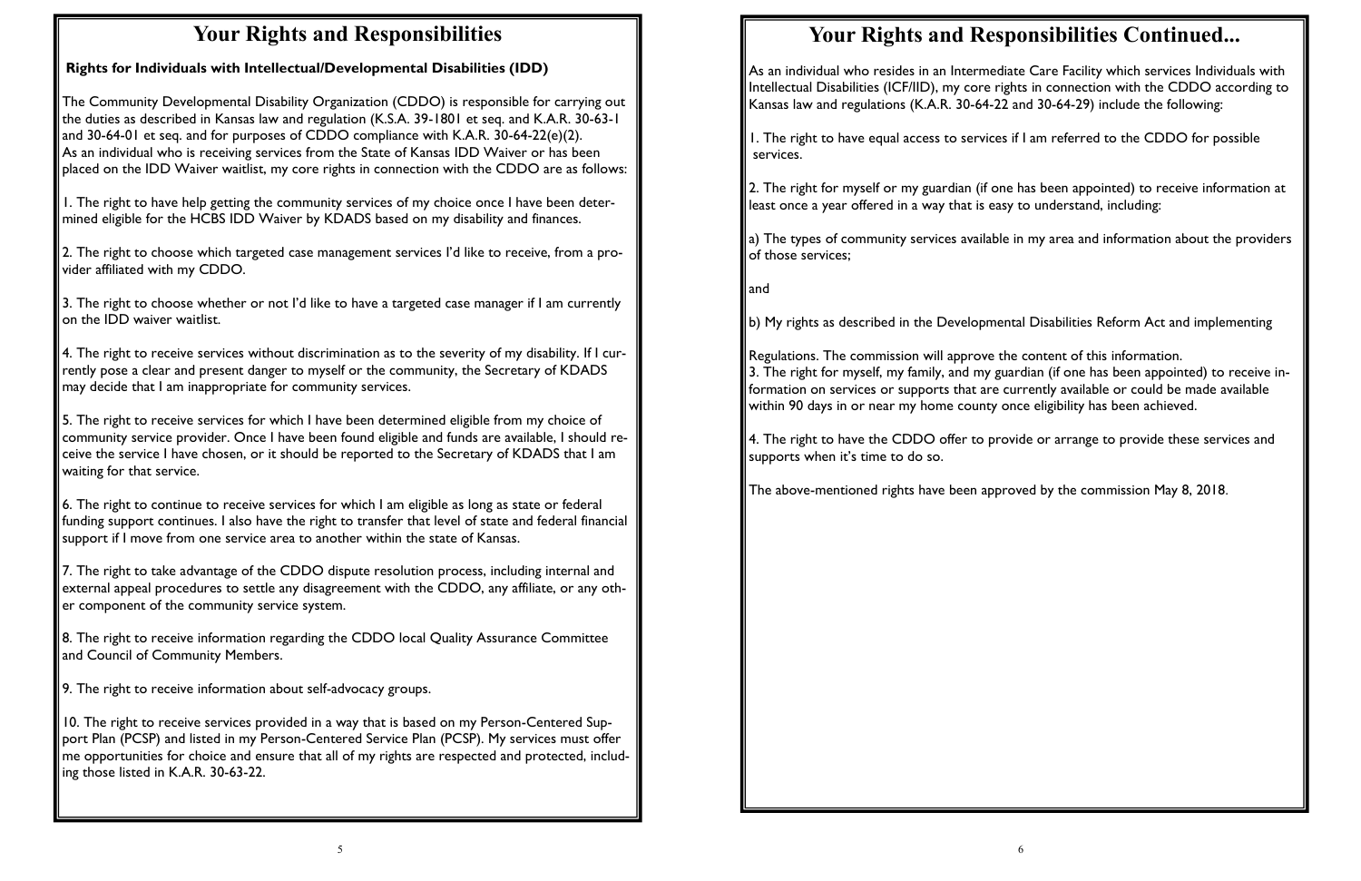# **Your Rights and Responsibilities**

**Rights for Individuals with Intellectual/Developmental Disabilities (IDD)** 

The Community Developmental Disability Organization (CDDO) is responsible for carrying out the duties as described in Kansas law and regulation (K.S.A. 39-1801 et seq. and K.A.R. 30-63-1 and 30-64-01 et seq. and for purposes of CDDO compliance with K.A.R. 30-64-22(e)(2). As an individual who is receiving services from the State of Kansas IDD Waiver or has been placed on the IDD Waiver waitlist, my core rights in connection with the CDDO are as follows:

1. The right to have help getting the community services of my choice once I have been determined eligible for the HCBS IDD Waiver by KDADS based on my disability and finances.

2. The right to choose which targeted case management services I'd like to receive, from a provider affiliated with my CDDO.

 $\vert$  6. The right to continue to receive services for which I am eligible as long as state or federal funding support continues. I also have the right to transfer that level of state and federal financial support if I move from one service area to another within the state of Kansas.

3. The right to choose whether or not I'd like to have a targeted case manager if I am currently on the IDD waiver waitlist.

4. The right to receive services without discrimination as to the severity of my disability. If I currently pose a clear and present danger to myself or the community, the Secretary of KDADS may decide that I am inappropriate for community services.

5. The right to receive services for which I have been determined eligible from my choice of community service provider. Once I have been found eligible and funds are available, I should receive the service I have chosen, or it should be reported to the Secretary of KDADS that I am waiting for that service.

7. The right to take advantage of the CDDO dispute resolution process, including internal and external appeal procedures to settle any disagreement with the CDDO, any affiliate, or any other component of the community service system.

8. The right to receive information regarding the CDDO local Quality Assurance Committee and Council of Community Members.

9. The right to receive information about self-advocacy groups.

10. The right to receive services provided in a way that is based on my Person-Centered Support Plan (PCSP) and listed in my Person-Centered Service Plan (PCSP). My services must offer me opportunities for choice and ensure that all of my rights are respected and protected, including those listed in K.A.R. 30-63-22.

# **Your Rights and Responsibilities Continued...**

As an individual who resides in an Intermediate Care Facility which services Individuals with Intellectual Disabilities (ICF/IID), my core rights in connection with the CDDO according to Kansas law and regulations (K.A.R. 30-64-22 and 30-64-29) include the following:

1. The right to have equal access to services if I am referred to the CDDO for possible services.

2. The right for myself or my guardian (if one has been appointed) to receive information at least once a year offered in a way that is easy to understand, including:

a) The types of community services available in my area and information about the providers of those services;

and

b) My rights as described in the Developmental Disabilities Reform Act and implementing

Regulations. The commission will approve the content of this information. 3. The right for myself, my family, and my guardian (if one has been appointed) to receive information on services or supports that are currently available or could be made available within 90 days in or near my home county once eligibility has been achieved.

4. The right to have the CDDO offer to provide or arrange to provide these services and supports when it's time to do so.

The above-mentioned rights have been approved by the commission May 8, 2018.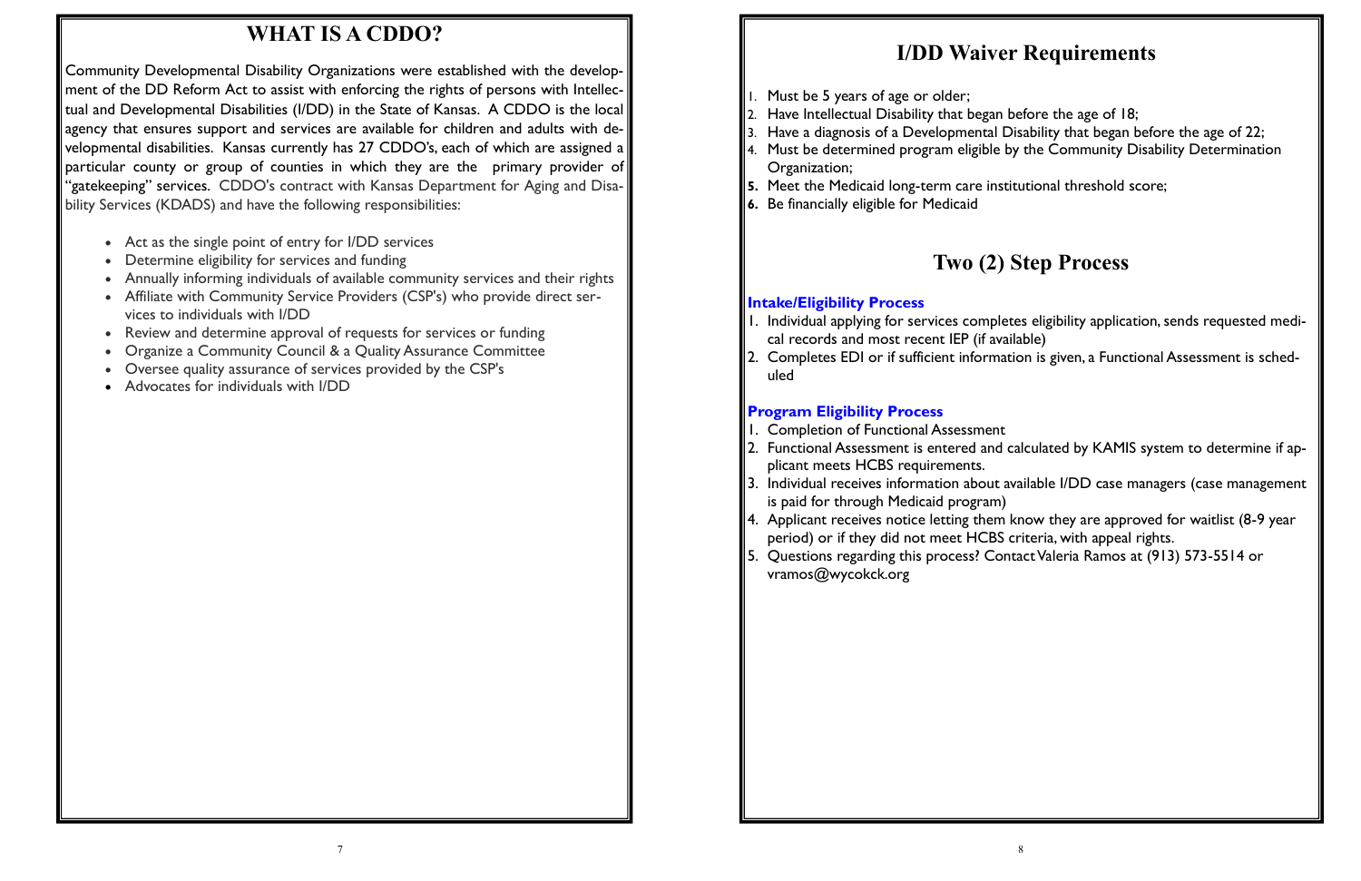3. Have a diagnosis of a Developmental Disability that began before the age of 22;

# **WHAT IS A CDDO?**

Community Developmental Disability Organizations were established with the development of the DD Reform Act to assist with enforcing the rights of persons with Intellectual and Developmental Disabilities (I/DD) in the State of Kansas. A CDDO is the local agency that ensures support and services are available for children and adults with developmental disabilities. Kansas currently has 27 CDDO's, each of which are assigned a particular county or group of counties in which they are the primary provider of "gatekeeping" services. CDDO's contract with Kansas Department for Aging and Disability Services (KDADS) and have the following responsibilities:

- Act as the single point of entry for I/DD services
- Determine eligibility for services and funding
- Annually informing individuals of available community services and their rights
- Affiliate with Community Service Providers (CSP's) who provide direct services to individuals with I/DD
- Review and determine approval of requests for services or funding
- Organize a Community Council & a Quality Assurance Committee
- Oversee quality assurance of services provided by the CSP's
- Advocates for individuals with I/DD

# **I/DD Waiver Requirements**

- 1. Must be 5 years of age or older;
- $\vert$ 2. Have Intellectual Disability that began before the age of 18;
- 
- 4. Must be determined program eligible by the Community Disability Determination Organization;
- **5.** Meet the Medicaid long-term care institutional threshold score;
- **6.** Be financially eligible for Medicaid

# **Two (2) Step Process**

### **Intake/Eligibility Process**

1. Individual applying for services completes eligibility application, sends requested medi-

- cal records and most recent IEP (if available)
- uled

2. Completes EDI or if sufficient information is given, a Functional Assessment is sched-

 $\,$  2. Functional Assessment is entered and calculated by <code>KAMIS</code> system to determine if ap-

 $\parallel$ 3. Individual receives information about available I/DD case managers (case management

### **Program Eligibility Process**

- 1. Completion of Functional Assessment
- plicant meets HCBS requirements.
- is paid for through Medicaid program)
- period) or if they did not meet HCBS criteria, with appeal rights.
- vramos@wycokck.org

4. Applicant receives notice letting them know they are approved for waitlist (8-9 year

5. Questions regarding this process? Contact Valeria Ramos at (913) 573-5514 or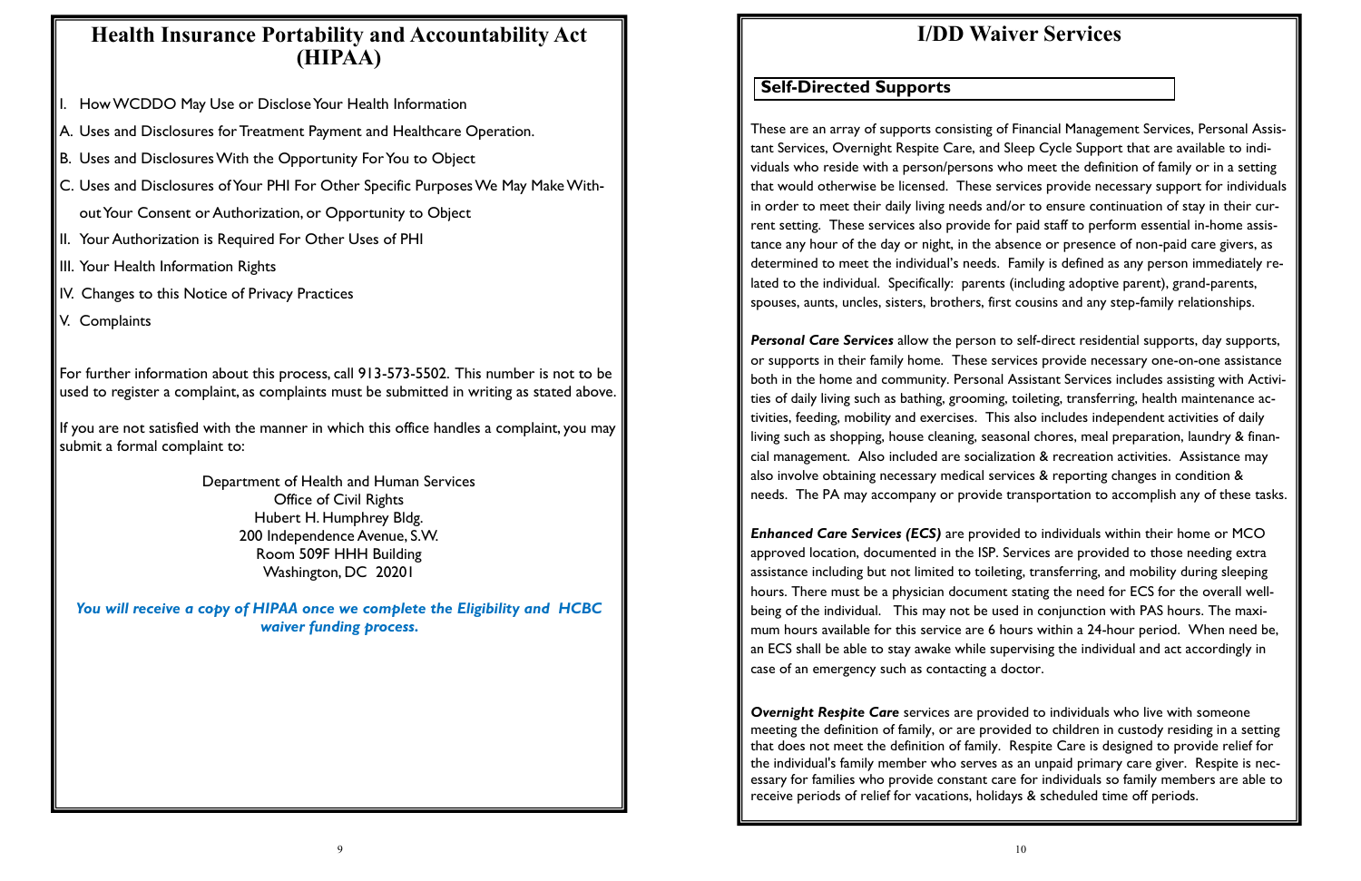# **Health Insurance Portability and Accountability Act (HIPAA)**

- How WCDDO May Use or Disclose Your Health Information
- A. Uses and Disclosures for Treatment Payment and Healthcare Operation.
- B. Uses and Disclosures With the Opportunity For You to Object
- C. Uses and Disclosures of Your PHI For Other Specific Purposes We May Make Without Your Consent or Authorization, or Opportunity to Object
- II. Your Authorization is Required For Other Uses of PHI
- III. Your Health Information Rights
- IV. Changes to this Notice of Privacy Practices
- V. Complaints

For further information about this process, call 913-573-5502. This number is not to be used to register a complaint, as complaints must be submitted in writing as stated above.

If you are not satisfied with the manner in which this office handles a complaint, you may submit a formal complaint to:

> Department of Health and Human Services Office of Civil Rights Hubert H. Humphrey Bldg. 200 Independence Avenue, S.W. Room 509F HHH Building Washington, DC 20201

*You will receive a copy of HIPAA once we complete the Eligibility and HCBC waiver funding process.* 

# **I/DD Waiver Services**

These are an array of supports consisting of Financial Management Services, Personal Assistant Services, Overnight Respite Care, and Sleep Cycle Support that are available to individuals who reside with a person/persons who meet the definition of family or in a setting that would otherwise be licensed. These services provide necessary support for individuals in order to meet their daily living needs and/or to ensure continuation of stay in their current setting. These services also provide for paid staff to perform essential in-home assistance any hour of the day or night, in the absence or presence of non-paid care givers, as determined to meet the individual's needs. Family is defined as any person immediately related to the individual. Specifically: parents (including adoptive parent), grand-parents, spouses, aunts, uncles, sisters, brothers, first cousins and any step-family relationships.

*Personal Care Services* allow the person to self-direct residential supports, day supports, or supports in their family home. These services provide necessary one-on-one assistance both in the home and community. Personal Assistant Services includes assisting with Activities of daily living such as bathing, grooming, toileting, transferring, health maintenance activities, feeding, mobility and exercises. This also includes independent activities of daily living such as shopping, house cleaning, seasonal chores, meal preparation, laundry & financial management. Also included are socialization & recreation activities. Assistance may also involve obtaining necessary medical services & reporting changes in condition & needs. The PA may accompany or provide transportation to accomplish any of these tasks.

*Enhanced Care Services (ECS)* are provided to individuals within their home or MCO approved location, documented in the ISP. Services are provided to those needing extra assistance including but not limited to toileting, transferring, and mobility during sleeping hours. There must be a physician document stating the need for ECS for the overall wellbeing of the individual. This may not be used in conjunction with PAS hours. The maximum hours available for this service are 6 hours within a 24-hour period. When need be, an ECS shall be able to stay awake while supervising the individual and act accordingly in case of an emergency such as contacting a doctor.

*Overnight Respite Care* services are provided to individuals who live with someone meeting the definition of family, or are provided to children in custody residing in a setting that does not meet the definition of family. Respite Care is designed to provide relief for the individual's family member who serves as an unpaid primary care giver. Respite is necessary for families who provide constant care for individuals so family members are able to receive periods of relief for vacations, holidays & scheduled time off periods.

### **Self-Directed Supports**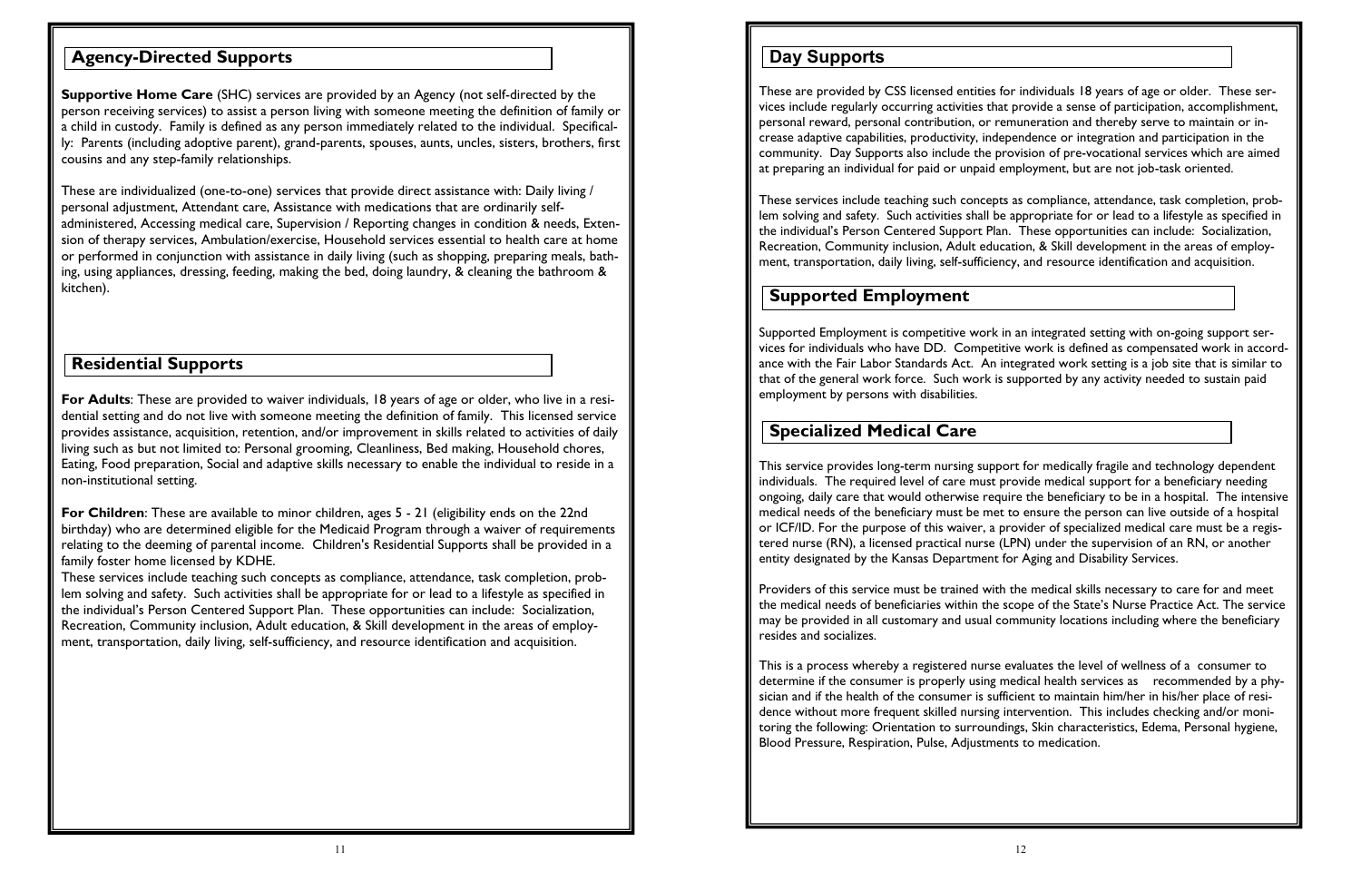**Supportive Home Care** (SHC) services are provided by an Agency (not self-directed by the person receiving services) to assist a person living with someone meeting the definition of family or a child in custody. Family is defined as any person immediately related to the individual. Specifically: Parents (including adoptive parent), grand-parents, spouses, aunts, uncles, sisters, brothers, first cousins and any step-family relationships.

These are individualized (one-to-one) services that provide direct assistance with: Daily living / personal adjustment, Attendant care, Assistance with medications that are ordinarily selfadministered, Accessing medical care, Supervision / Reporting changes in condition & needs, Extension of therapy services, Ambulation/exercise, Household services essential to health care at home or performed in conjunction with assistance in daily living (such as shopping, preparing meals, bathing, using appliances, dressing, feeding, making the bed, doing laundry, & cleaning the bathroom & kitchen).

**For Adults**: These are provided to waiver individuals, 18 years of age or older, who live in a residential setting and do not live with someone meeting the definition of family. This licensed service provides assistance, acquisition, retention, and/or improvement in skills related to activities of daily living such as but not limited to: Personal grooming, Cleanliness, Bed making, Household chores, Eating, Food preparation, Social and adaptive skills necessary to enable the individual to reside in a non-institutional setting.

**For Children**: These are available to minor children, ages 5 - 21 (eligibility ends on the 22nd birthday) who are determined eligible for the Medicaid Program through a waiver of requirements relating to the deeming of parental income. Children's Residential Supports shall be provided in a family foster home licensed by KDHE.

These services include teaching such concepts as compliance, attendance, task completion, problem solving and safety. Such activities shall be appropriate for or lead to a lifestyle as specified in the individual's Person Centered Support Plan. These opportunities can include: Socialization, Recreation, Community inclusion, Adult education, & Skill development in the areas of employment, transportation, daily living, self-sufficiency, and resource identification and acquisition.

### **Agency-Directed Supports**

### **Residential Supports**

These are provided by CSS licensed entities for individuals 18 years of age or older. These services include regularly occurring activities that provide a sense of participation, accomplishment, personal reward, personal contribution, or remuneration and thereby serve to maintain or increase adaptive capabilities, productivity, independence or integration and participation in the community. Day Supports also include the provision of pre-vocational services which are aimed at preparing an individual for paid or unpaid employment, but are not job-task oriented.

These services include teaching such concepts as compliance, attendance, task completion, problem solving and safety. Such activities shall be appropriate for or lead to a lifestyle as specified in the individual's Person Centered Support Plan. These opportunities can include: Socialization, Recreation, Community inclusion, Adult education, & Skill development in the areas of employment, transportation, daily living, self-sufficiency, and resource identification and acquisition.

Supported Employment is competitive work in an integrated setting with on-going support services for individuals who have DD. Competitive work is defined as compensated work in accordance with the Fair Labor Standards Act. An integrated work setting is a job site that is similar to that of the general work force. Such work is supported by any activity needed to sustain paid employment by persons with disabilities.

This service provides long-term nursing support for medically fragile and technology dependent individuals. The required level of care must provide medical support for a beneficiary needing ongoing, daily care that would otherwise require the beneficiary to be in a hospital. The intensive medical needs of the beneficiary must be met to ensure the person can live outside of a hospital or ICF/ID. For the purpose of this waiver, a provider of specialized medical care must be a registered nurse (RN), a licensed practical nurse (LPN) under the supervision of an RN, or another entity designated by the Kansas Department for Aging and Disability Services.

Providers of this service must be trained with the medical skills necessary to care for and meet the medical needs of beneficiaries within the scope of the State's Nurse Practice Act. The service may be provided in all customary and usual community locations including where the beneficiary resides and socializes.

This is a process whereby a registered nurse evaluates the level of wellness of a consumer to determine if the consumer is properly using medical health services as recommended by a physician and if the health of the consumer is sufficient to maintain him/her in his/her place of residence without more frequent skilled nursing intervention. This includes checking and/or monitoring the following: Orientation to surroundings, Skin characteristics, Edema, Personal hygiene, Blood Pressure, Respiration, Pulse, Adjustments to medication.

### **Day Supports**

#### **Supported Employment**

#### **Specialized Medical Care**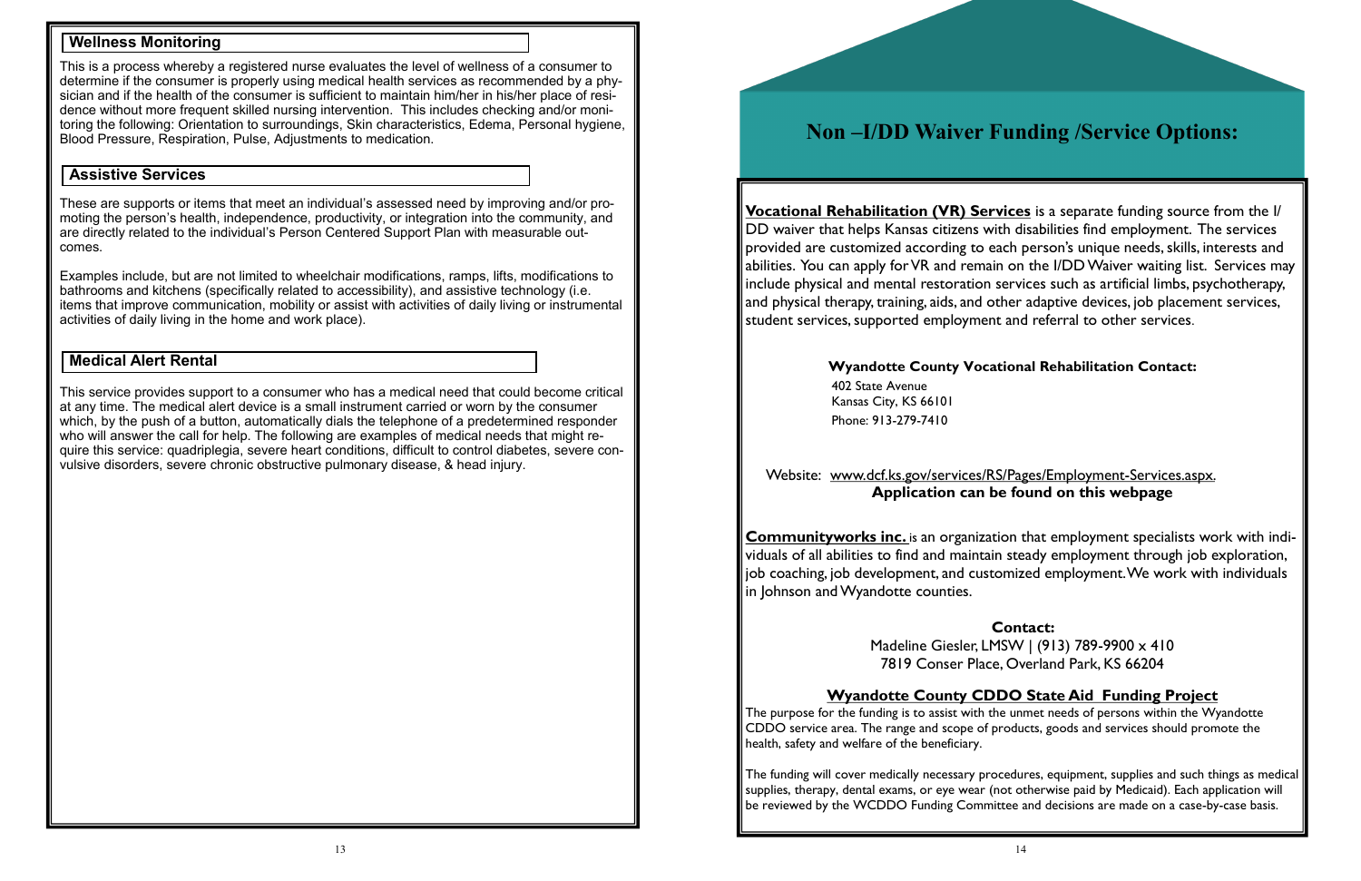This is a process whereby a registered nurse evaluates the level of wellness of a consumer to determine if the consumer is properly using medical health services as recommended by a physician and if the health of the consumer is sufficient to maintain him/her in his/her place of residence without more frequent skilled nursing intervention. This includes checking and/or monitoring the following: Orientation to surroundings, Skin characteristics, Edema, Personal hygiene, Blood Pressure, Respiration, Pulse, Adjustments to medication.

These are supports or items that meet an individual's assessed need by improving and/or promoting the person's health, independence, productivity, or integration into the community, and are directly related to the individual's Person Centered Support Plan with measurable outcomes.

Examples include, but are not limited to wheelchair modifications, ramps, lifts, modifications to bathrooms and kitchens (specifically related to accessibility), and assistive technology (i.e. items that improve communication, mobility or assist with activities of daily living or instrumental activities of daily living in the home and work place).

This service provides support to a consumer who has a medical need that could become critical at any time. The medical alert device is a small instrument carried or worn by the consumer which, by the push of a button, automatically dials the telephone of a predetermined responder who will answer the call for help. The following are examples of medical needs that might require this service: quadriplegia, severe heart conditions, difficult to control diabetes, severe convulsive disorders, severe chronic obstructive pulmonary disease, & head injury.

#### **Wellness Monitoring**

#### **Assistive Services**

#### **Medical Alert Rental**

# **Non –I/DD Waiver Funding /Service Options:**

**Vocational Rehabilitation (VR) Services** is a separate funding source from the I/ DD waiver that helps Kansas citizens with disabilities find employment. The services provided are customized according to each person's unique needs, skills, interests and abilities. You can apply for VR and remain on the I/DD Waiver waiting list. Services may include physical and mental restoration services such as artificial limbs, psychotherapy, and physical therapy, training, aids, and other adaptive devices, job placement services, student services, supported employment and referral to other services.

Website:www.dcf.ks.gov/services/RS/Pages/Employment-Services.aspx.

# **Application can be found on this webpage**

**Communityworks inc.** is an organization that employment specialists work with individuals of all abilities to find and maintain steady employment through job exploration, job coaching, job development, and customized employment. We work with individuals in Johnson and Wyandotte counties.

# **Contact:**

Madeline Giesler, LMSW | (913) 789-9900 x 410 7819 Conser Place, Overland Park, KS 66204

#### **Wyandotte County CDDO State Aid Funding Project**

The purpose for the funding is to assist with the unmet needs of persons within the Wyandotte CDDO service area. The range and scope of products, goods and services should promote the health, safety and welfare of the beneficiary.

The funding will cover medically necessary procedures, equipment, supplies and such things as medical supplies, therapy, dental exams, or eye wear (not otherwise paid by Medicaid). Each application will be reviewed by the WCDDO Funding Committee and decisions are made on a case-by-case basis.

#### **Wyandotte County Vocational Rehabilitation Contact:**

402 State Avenue Kansas City, KS 66101 Phone: 913-279-7410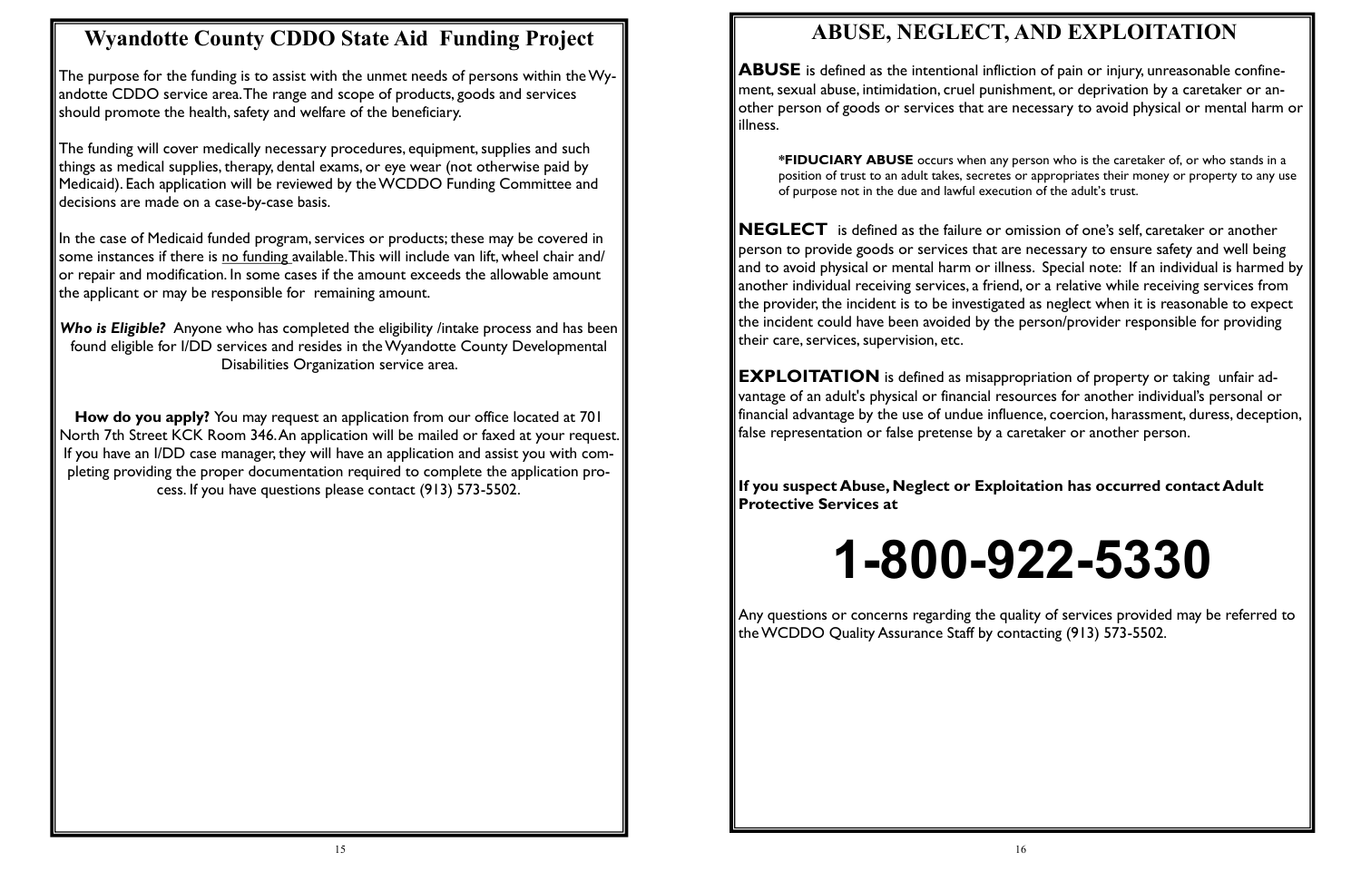# **Wyandotte County CDDO State Aid Funding Project**

The purpose for the funding is to assist with the unmet needs of persons within the Wyandotte CDDO service area. The range and scope of products, goods and services should promote the health, safety and welfare of the beneficiary.

The funding will cover medically necessary procedures, equipment, supplies and such things as medical supplies, therapy, dental exams, or eye wear (not otherwise paid by Medicaid). Each application will be reviewed by the WCDDO Funding Committee and decisions are made on a case-by-case basis.

In the case of Medicaid funded program, services or products; these may be covered in some instances if there is no funding available. This will include van lift, wheel chair and/ or repair and modification. In some cases if the amount exceeds the allowable amount the applicant or may be responsible for remaining amount.

*Who is Eligible?* Anyone who has completed the eligibility /intake process and has been found eligible for I/DD services and resides in the Wyandotte County Developmental Disabilities Organization service area.

**How do you apply?** You may request an application from our office located at 701 North 7th Street KCK Room 346. An application will be mailed or faxed at your request. If you have an I/DD case manager, they will have an application and assist you with completing providing the proper documentation required to complete the application process. If you have questions please contact (913) 573-5502.

**EXPLOITATION** is defined as misappropriation of property or taking unfair advantage of an adult's physical or financial resources for another individual's personal or financial advantage by the use of undue influence, coercion, harassment, duress, deception, false representation or false pretense by a caretaker or another person.

# **ABUSE, NEGLECT, AND EXPLOITATION**

**ABUSE** is defined as the intentional infliction of pain or injury, unreasonable confinement, sexual abuse, intimidation, cruel punishment, or deprivation by a caretaker or another person of goods or services that are necessary to avoid physical or mental harm or illness.

**\*FIDUCIARY ABUSE** occurs when any person who is the caretaker of, or who stands in a position of trust to an adult takes, secretes or appropriates their money or property to any use of purpose not in the due and lawful execution of the adult's trust.

**NEGLECT** is defined as the failure or omission of one's self, caretaker or another person to provide goods or services that are necessary to ensure safety and well being and to avoid physical or mental harm or illness. Special note: If an individual is harmed by another individual receiving services, a friend, or a relative while receiving services from the provider, the incident is to be investigated as neglect when it is reasonable to expect the incident could have been avoided by the person/provider responsible for providing their care, services, supervision, etc.

**If you suspect Abuse, Neglect or Exploitation has occurred contact Adult Protective Services at** 

# **1-800-922-5330**

Any questions or concerns regarding the quality of services provided may be referred to the WCDDO Quality Assurance Staff by contacting (913) 573-5502.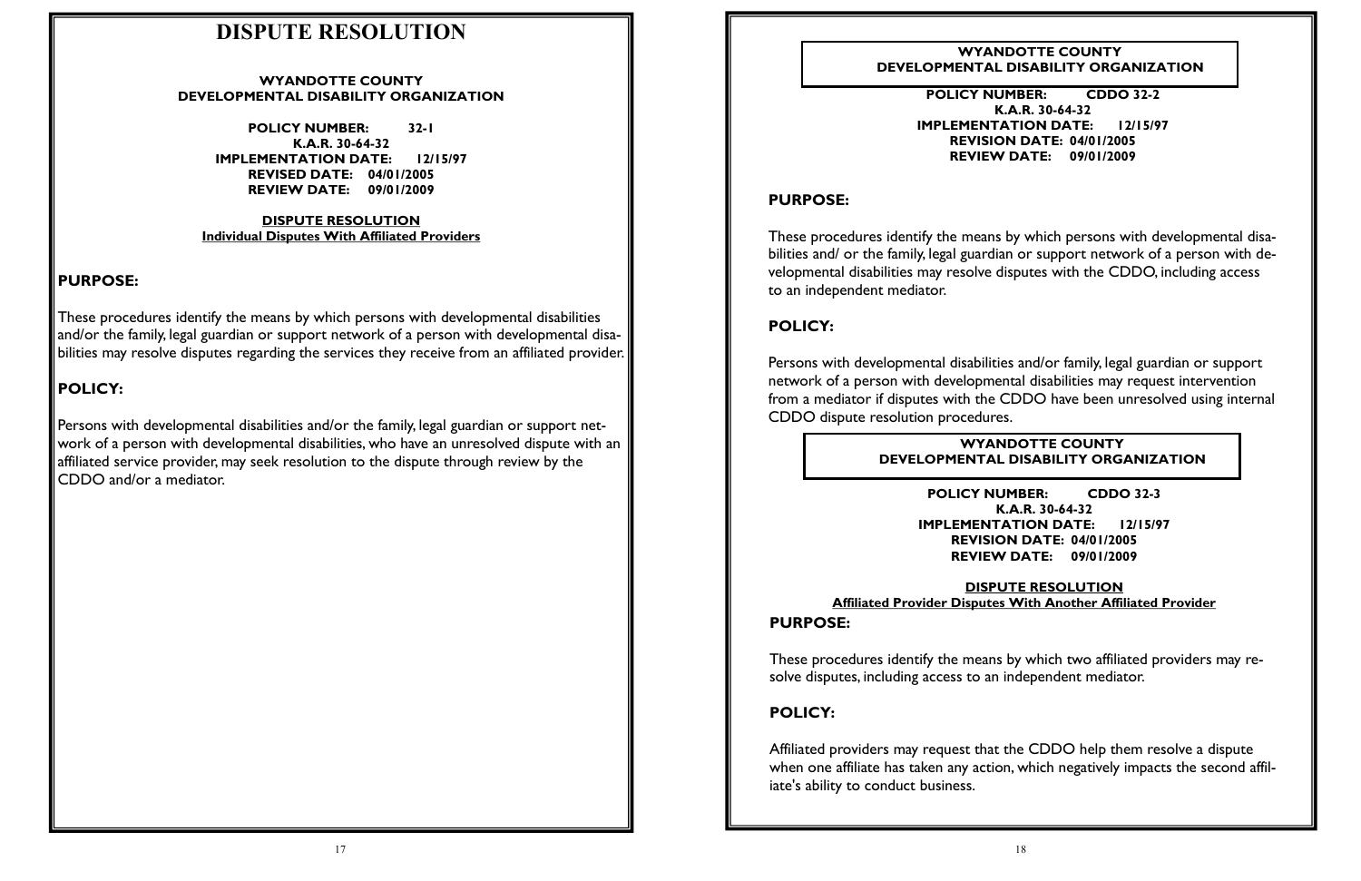# **DISPUTE RESOLUTION**

#### **WYANDOTTE COUNTY DEVELOPMENTAL DISABILITY ORGANIZATION**

**POLICY NUMBER: 32-1 K.A.R. 30-64-32 IMPLEMENTATION DATE: 12/15/97 REVISED DATE: 04/01/2005 REVIEW DATE: 09/01/2009**

#### **DISPUTE RESOLUTION Individual Disputes With Affiliated Providers**

#### **PURPOSE:**

These procedures identify the means by which persons with developmental disabilities and/or the family, legal guardian or support network of a person with developmental disabilities may resolve disputes regarding the services they receive from an affiliated provider.

### **POLICY:**

Persons with developmental disabilities and/or the family, legal guardian or support network of a person with developmental disabilities, who have an unresolved dispute with an affiliated service provider, may seek resolution to the dispute through review by the CDDO and/or a mediator.

**POLICY NUMBER: CDDO 32-2 K.A.R. 30-64-32 IMPLEMENTATION DATE: 12/15/97 REVISION DATE: 04/01/2005 REVIEW DATE: 09/01/2009**

### **PURPOSE:**

These procedures identify the means by which persons with developmental disabilities and/ or the family, legal guardian or support network of a person with developmental disabilities may resolve disputes with the CDDO, including access to an independent mediator.

### **POLICY:**

Persons with developmental disabilities and/or family, legal guardian or support network of a person with developmental disabilities may request intervention from a mediator if disputes with the CDDO have been unresolved using internal CDDO dispute resolution procedures.

**POLICY NUMBER: CDDO 32-3 K.A.R. 30-64-32 IMPLEMENTATION DATE: 12/15/97 REVISION DATE: 04/01/2005 REVIEW DATE: 09/01/2009**

**DISPUTE RESOLUTION Affiliated Provider Disputes With Another Affiliated Provider PURPOSE:**

These procedures identify the means by which two affiliated providers may resolve disputes, including access to an independent mediator.

#### **POLICY:**

Affiliated providers may request that the CDDO help them resolve a dispute when one affiliate has taken any action, which negatively impacts the second affiliate's ability to conduct business.

**WYANDOTTE COUNTY DEVELOPMENTAL DISABILITY ORGANIZATION**

**WYANDOTTE COUNTY DEVELOPMENTAL DISABILITY ORGANIZATION**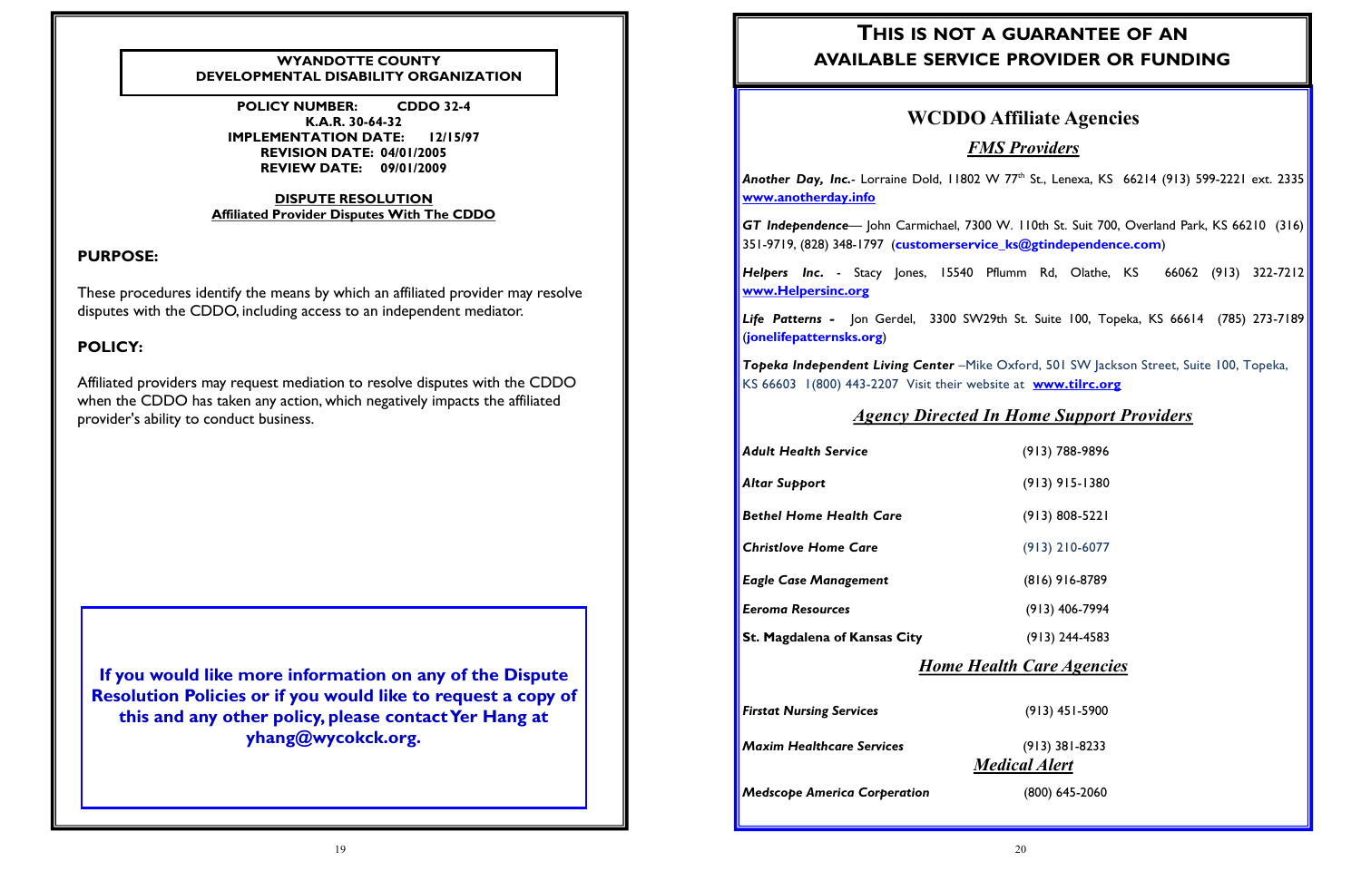#### **PURPOSE:**

These procedures identify the means by which an affiliated provider may resolve disputes with the CDDO, including access to an independent mediator.

#### **POLICY:**

Affiliated providers may request mediation to resolve disputes with the CDDO when the CDDO has taken any action, which negatively impacts the affiliated provider's ability to conduct business.

**POLICY NUMBER: CDDO 32-4 K.A.R. 30-64-32 IMPLEMENTATION DATE: 12/15/97 REVISION DATE: 04/01/2005 REVIEW DATE: 09/01/2009**

**Another Day, Inc.**- Lorraine Dold, 11802 W 77<sup>th</sup> St., Lenexa, KS 66214 (913) 599-2221 ext. 2335 **[www.anotherday.info](http://www.anotherday.info/)**

#### **DISPUTE RESOLUTION Affiliated Provider Disputes With The CDDO**

**If you would like more information on any of the Dispute Resolution Policies or if you would like to request a copy of this and any other policy, please contact Yer Hang at yhang@wycokck.org.**

#### **WYANDOTTE COUNTY DEVELOPMENTAL DISABILITY ORGANIZATION**

# **WCDDO Affiliate Agencies**

#### *FMS Providers*

*GT Independence*— John Carmichael, 7300 W. 110th St. Suit 700, Overland Park, KS 66210 (316) 351-9719, (828) 348-1797 (**customerservice\_ks@gtindependence.com**)

*Helpers Inc***.** - Stacy Jones, 15540 Pflumm Rd, Olathe, KS 66062 (913) 322-7212 **www.Helpersinc.org** 

*Life Patterns -* Jon Gerdel, 3300 SW29th St. Suite 100, Topeka, KS 66614 (785) 273-7189 (**jonelifepatternsks.org**)

*Topeka Independent Living Center* –Mike Oxford, 501 SW Jackson Street, Suite 100, Topeka, KS 66603 1(800) 443-2207 Visit their website at **[www.tilrc.org](http://www.tilrc.org/)**

#### *[Agency Directed In Home Support Providers](http://www.tilrc.org/)*

*[Adult Health Service](http://www.tilrc.org/)* (913) 788-9896

- 
- *Altar Support* (913) 915-1380
	-
	-
	-
	-
	-

*Bethel Home Health Care* (913) 808-5221

*Christlove Home Care* (913) 210-6077

*Eagle Case Management* (816) 916-8789

*Eeroma Resources* (913) 406-7994

**St. Magdalena of Kansas City** (913) 244-4583

#### *Home Health Care Agencies*

*Firstat Nursing Services* (913) 451-5900

*Maxim Healthcare Services* (913) 381-8233

### *Medical Alert*

*Medscope America Corperation* (800) 645-2060

# **THIS IS NOT A GUARANTEE OF AN AVAILABLE SERVICE PROVIDER OR FUNDING**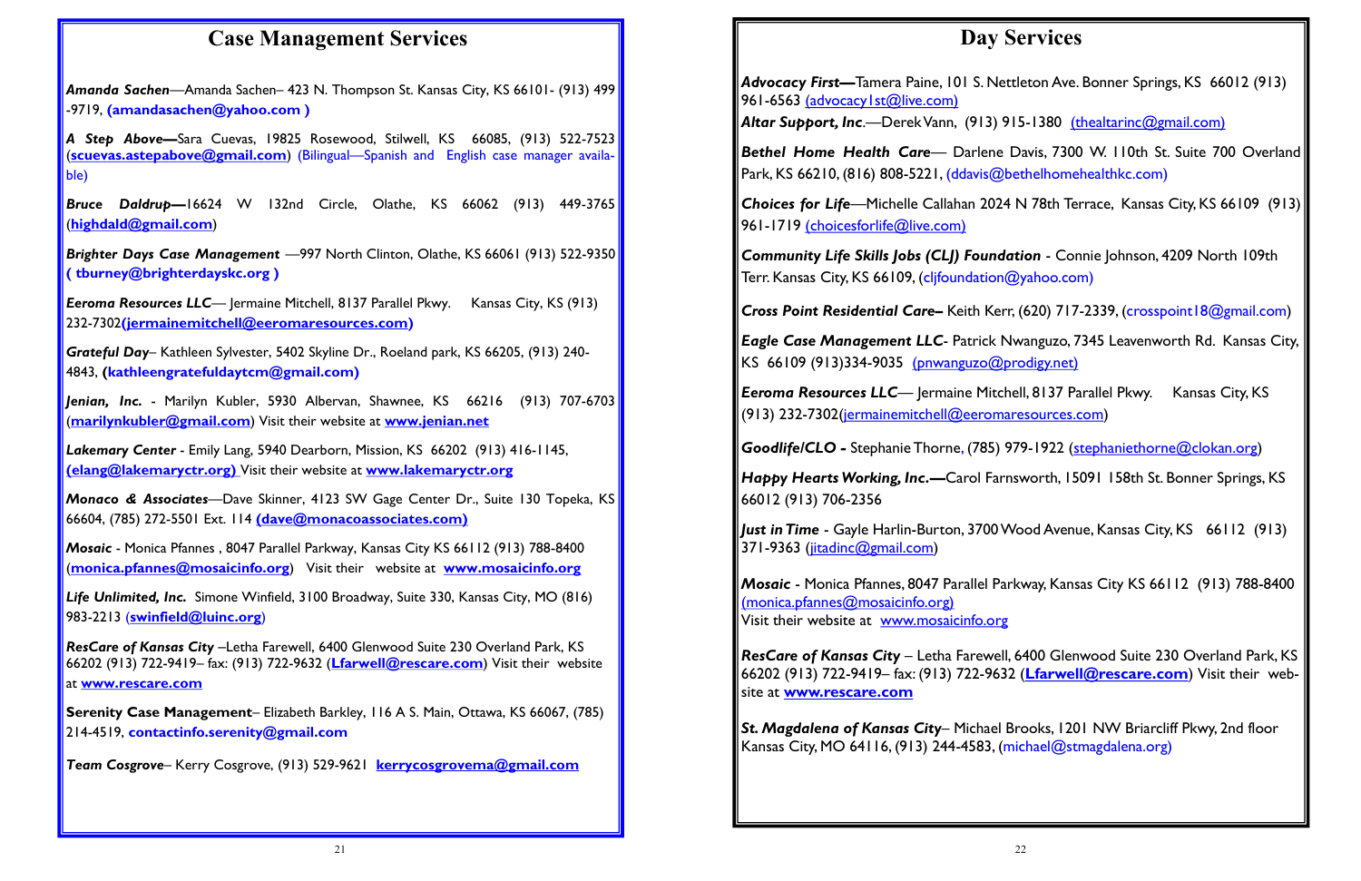# **Case Management Services**

*A Step Above—*Sara Cuevas, 19825 Rosewood, Stilwell, KS 66085, (913) 522-7523 (**scuevas.astepabove@gmail.com**) (Bilingual—Spanish and English case manager availa- $\vert$ ble)

*Amanda Sachen*—Amanda Sachen– 423 N. Thompson St. Kansas City, KS 66101- (913) 499 -9719, **(amandasachen@yahoo.com )** 

**Eeroma Resources LLC**— Jermaine Mitchell, 8137 Parallel Pkwy. Kansas City, KS (913) 232-7302**(jermainemitchell@eeromaresources.com)**

*Bruce Daldrup—*16624 W 132nd Circle, Olathe, KS 66062 (913) 449-3765 (**highdald@gmail.com**)

*Brighter Days Case Management* —997 North Clinton, Olathe, KS 66061 (913) 522-9350 **( tburney@brighterdayskc.org )** 

*Grateful Day*– Kathleen Sylvester, 5402 Skyline Dr., Roeland park, KS 66205, (913) 240- 4843, **(kathleengratefuldaytcm@gmail.com)**

*Jenian, Inc.* - Marilyn Kubler, 5930 Albervan, Shawnee, KS 66216 (913) 707-6703 (**marilynkubler@gmail.com**) Visit their website at **[www.jenian.net](http://www.jenian.net/)**

*Advocacy First***—**Tamera Paine, 101 S. Nettleton Ave. Bonner Springs, KS 66012 (913) 961-6563 (advocacy1st@live.com)

*Lakemary Center* - Emily Lang, 5940 Dearborn, Mission, KS 66202 (913) 416-1145, **(elang@lakemaryctr.org)** Visit their website at **[www.lakemaryctr.org](http://www.lakemaryctr.org/)**

*Monaco & Associates*—Dave Skinner, 4123 SW Gage Center Dr., Suite 130 Topeka, KS 66604, (785) 272-5501 Ext. 114 **(dave@monacoassociates.com)**

**Choices for Life**—Michelle Callahan 2024 N 78th Terrace, Kansas City, KS 66109 (913) 961-1719 (choicesforlife@live.com)

*Mosaic* - Monica Pfannes , 8047 Parallel Parkway, Kansas City KS 66112 (913) 788-8400 (**monica.pfannes@mosaicinfo.org**) Visit their website at **[www.mosaicinfo.org](http://www.mosaicinfo.org/)**

**Eeroma Resources LLC**— Jermaine Mitchell, 8137 Parallel Pkwy. Kansas City, KS (913) 232-7302(jermainemitchell@eeromaresources.com)

*Life Unlimited, Inc.* Simone Winfield, 3100 Broadway, Suite 330, Kansas City, MO (816) 983-2213 (**swinfield@luinc.org**)

*Happy Hearts Working, Inc.*—Carol Farnsworth, 15091 158th St. Bonner Springs, KS 66012 (913) 706-2356

Just in Time - Gayle Harlin-Burton, 3700 Wood Avenue, Kansas City, KS 66112 (913) 371-9363 (jitadinc@gmail.com)

*Mosaic* - Monica Pfannes, 8047 Parallel Parkway, Kansas City KS 66112 (913) 788-8400 (monica.pfannes@mosaicinfo.org) Visit their website at [www.mosaicinfo.org](http://www.mosaicinfo.org/)

*ResCare of Kansas City* –Letha Farewell, 6400 Glenwood Suite 230 Overland Park, KS 66202 (913) 722-9419– fax: (913) 722-9632 (**Lfarwell@rescare.com**) Visit their website at **[www.rescare.com](http://www.rescare.com/)**

**Serenity Case Management**– Elizabeth Barkley, 116 A S. Main, Ottawa, KS 66067, (785) 214-4519, **contactinfo.serenity@gmail.com** 

*Team Cosgrove*– Kerry Cosgrove, (913) 529-9621 **kerrycosgrovema@gmail.com** 

# **Day Services**

*Altar Support, Inc*.—Derek Vann, (913) 915-1380 (thealtarinc@gmail.com)

**Bethel Home Health Care**— Darlene Davis, 7300 W. 110th St. Suite 700 Overland Park, KS 66210, (816) 808-5221, (ddavis@bethelhomehealthkc.com)

*Community Life Skills Jobs (CLJ) Foundation* - Connie Johnson, 4209 North 109th Terr. Kansas City, KS 66109, (cljfoundation@yahoo.com)

*Cross Point Residential Care***–** Keith Kerr, (620) 717-2339, (crosspoint18@gmail.com)

*Eagle Case Management LLC*- Patrick Nwanguzo, 7345 Leavenworth Rd. Kansas City, KS 66109 (913)334-9035 (pnwanguzo@prodigy.net)

*Goodlife/CLO -* Stephanie Thorne, (785) 979-1922 (stephaniethorne@clokan.org)

*ResCare of Kansas City* – Letha Farewell, 6400 Glenwood Suite 230 Overland Park, KS 66202 (913) 722-9419– fax: (913) 722-9632 (**Lfarwell@rescare.com**) Visit their website at **[www.rescare.com](http://www.rescare.com/)**

*St. Magdalena of Kansas City*– Michael Brooks, 1201 NW Briarcliff Pkwy, 2nd floor Kansas City, MO 64116, (913) 244-4583, (michael@stmagdalena.org)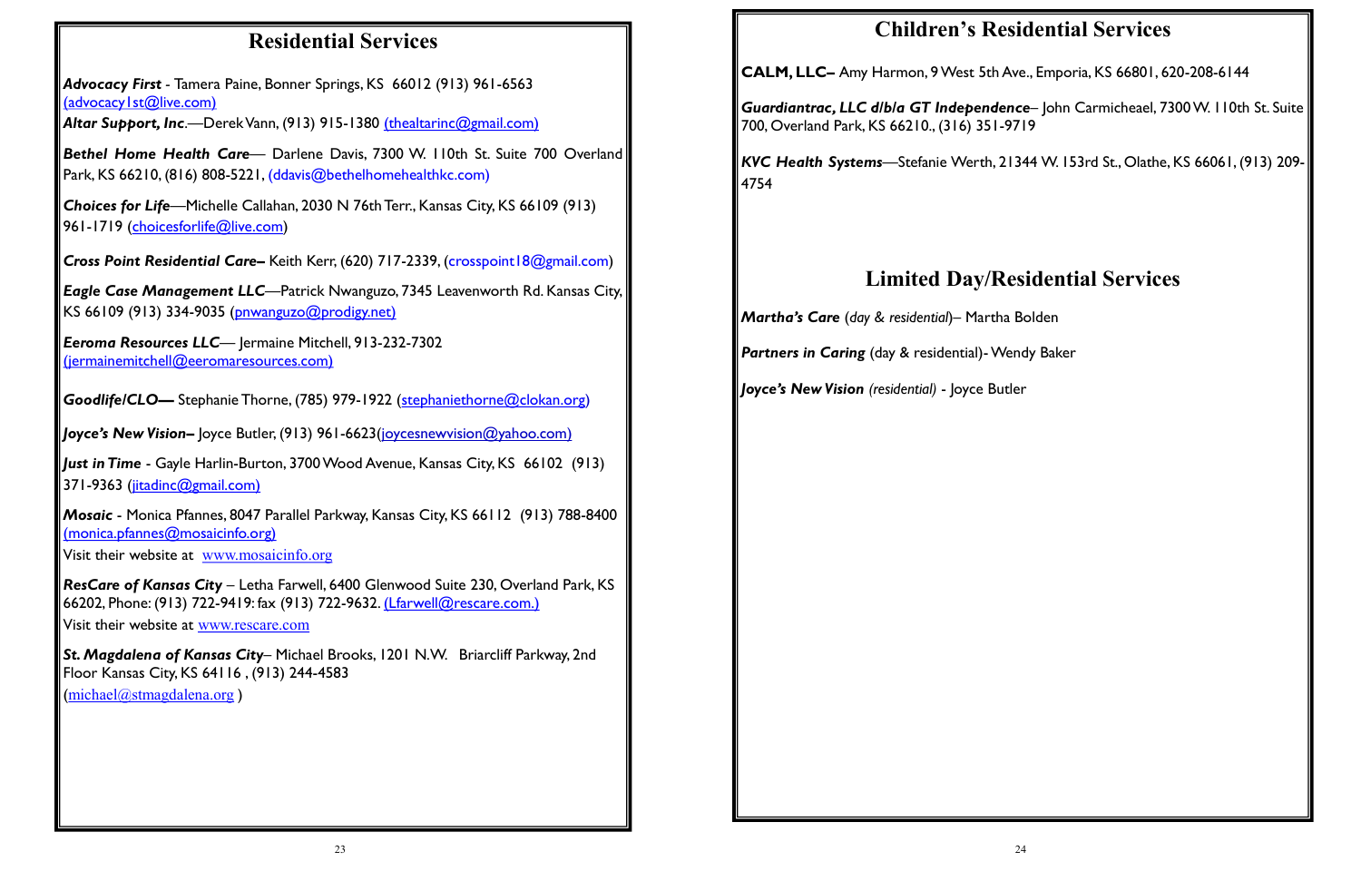*Advocacy First -* Tamera Paine, Bonner Springs, KS 66012 (913) 961-6563 (advocacy | st@live.com)

# **Residential Services**

*Bethel Home Health Care*— Darlene Davis, 7300 W. 110th St. Suite 700 Overland Park, KS 66210, (816) 808-5221, (ddavis@bethelhomehealthkc.com)

*Altar Support, Inc*.—Derek Vann, (913) 915-1380 (thealtarinc@gmail.com)

*Choices for Life*—Michelle Callahan, 2030 N 76th Terr., Kansas City, KS 66109 (913) 961-1719 (choicesforlife@live.com)

**Cross Point Residential Care-** Keith Kerr, (620) 717-2339, (crosspoint18@gmail.com)

*Just in Time* - Gayle Harlin-Burton, 3700 Wood Avenue, Kansas City, KS 66102 (913) 371-9363 (jitadinc@gmail.com)

*Eagle Case Management LLC*—Patrick Nwanguzo, 7345 Leavenworth Rd. Kansas City, KS 66109 (913) 334-9035 (pnwanguzo@prodigy.net)

*Eeroma Resources LLC*— Jermaine Mitchell, 913-232-7302 (jermainemitchell@eeromaresources.com)

*Goodlife/CLO***—** Stephanie Thorne, (785) 979-1922 (stephaniethorne@clokan.org)

*Joyce's New Vision–* Joyce Butler, (913) 961-6623(joycesnewvision@yahoo.com)

*Mosaic* - Monica Pfannes, 8047 Parallel Parkway, Kansas City, KS 66112 (913) 788-8400 (monica.pfannes@mosaicinfo.org)

Visit their website at [www.mosaicinfo.org](http://www.mosaicinfo.org/)

*ResCare of Kansas City* – Letha Farwell, 6400 Glenwood Suite 230, Overland Park, KS 66202, Phone: (913) 722-9419: fax (913) 722-9632. (Lfarwell@rescare.com.) Visit their website at [www.rescare.com](http://www.rescare.com/)

*St. Magdalena of Kansas City*– Michael Brooks, 1201 N.W. Briarcliff Parkway, 2nd Floor Kansas City, KS 64116 , (913) 244-4583

([michael@stmagdalena.org](mailto:michael@stmagdalena.org) )

# **Children's Residential Services**

**CALM, LLC–** Amy Harmon, 9 West 5th Ave., Emporia, KS 66801, 620-208-6144

*Guardiantrac, LLC d/b/a GT Independence*– John Carmicheael, 7300 W. 110th St. Suite 700, Overland Park, KS 66210., (316) 351-9719

*KVC Health Systems*—Stefanie Werth, 21344 W. 153rd St., Olathe, KS 66061, (913) 209- 4754

# **Limited Day/Residential Services**

*Martha's Care* (*day & residential*)– Martha Bolden

**Partners in Caring** (day & residential)- Wendy Baker

*Joyce's New Vision (residential)* - Joyce Butler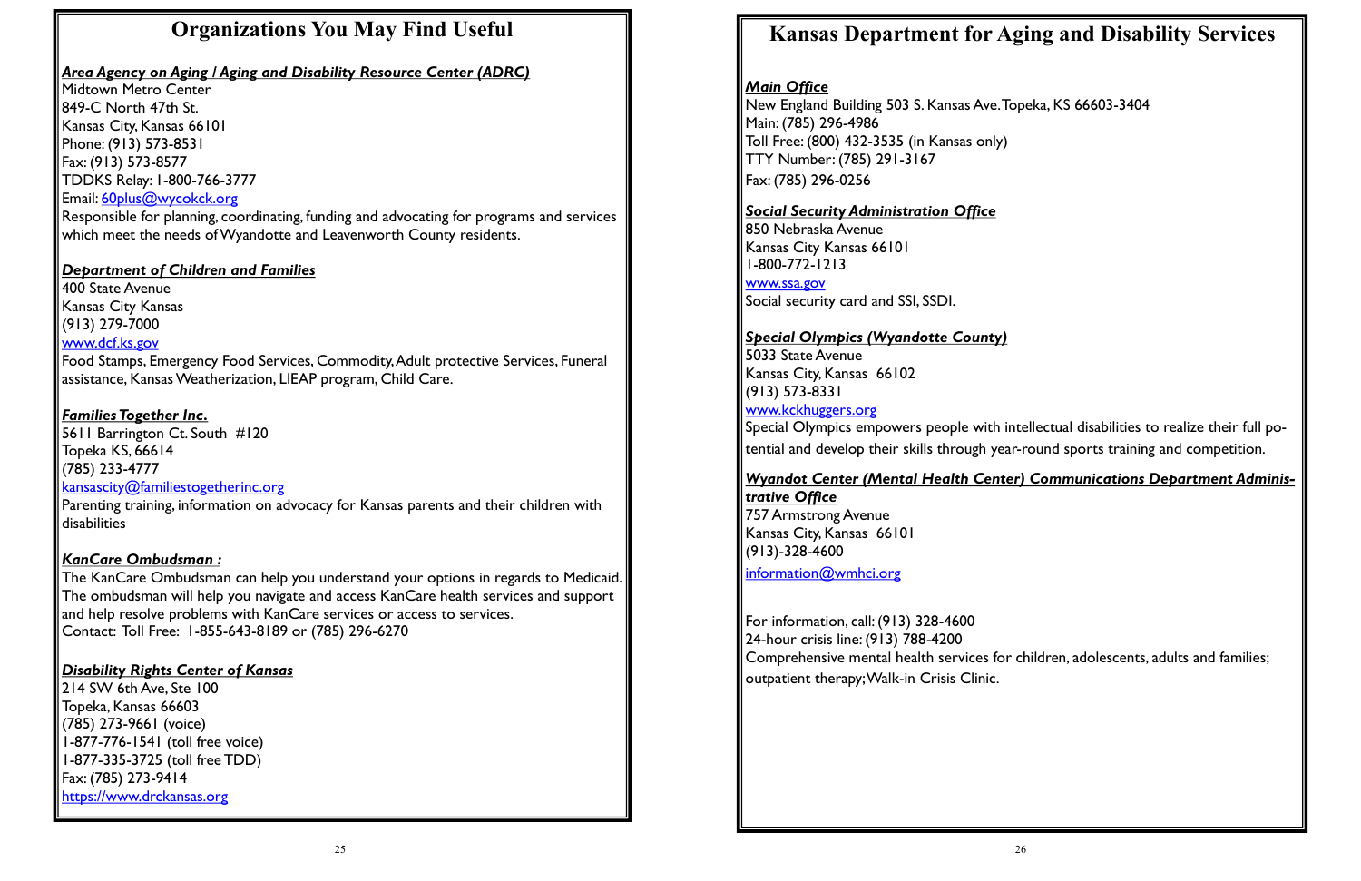# **Organizations You May Find Useful**

#### *Area Agency on Aging / Aging and Disability Resource Center (ADRC)*

Midtown Metro Center 849-C North 47th St. Kansas City, Kansas 66101 Phone: (913) 573-8531 Fax: (913) 573-8577 TDDKS Relay: 1-800-766-3777 Email: [60plus@wycokck.org](mailto:60plus@wycokck.org)

Responsible for planning, coordinating, funding and advocating for programs and services which meet the needs of Wyandotte and Leavenworth County residents.

#### *Department of Children and Families*

400 State Avenue Kansas City Kansas (913) 279-7000 www.dcf.ks.gov

Food Stamps, Emergency Food Services, Commodity, Adult protective Services, Funeral assistance, Kansas Weatherization, LIEAP program, Child Care.

#### *Families Together Inc.*

5611 Barrington Ct. South #120 Topeka KS, 66614 (785) 233-4777 [kansascity@familiestogetherinc.org](mailto:kansascity@familiestogetherinc.org)

Parenting training, information on advocacy for Kansas parents and their children with disabilities

#### *KanCare Ombudsman :*

The KanCare Ombudsman can help you understand your options in regards to Medicaid. The ombudsman will help you navigate and access KanCare health services and support and help resolve problems with KanCare services or access to services. Contact: Toll Free: 1-855-643-8189 or (785) 296-6270

#### *Disability Rights Center of Kansas*

214 SW 6th Ave, Ste 100 Topeka, Kansas 66603 (785) 273-9661 (voice) 1-877-776-1541 (toll free voice) 1-877-335-3725 (toll free TDD) Fax: (785) 273-9414 https://www.drckansas.org

# **Kansas Department for Aging and Disability Services**

### *Main Office*

New England Building 503 S. Kansas Ave. Topeka, KS 66603-3404 Main: (785) 296-4986 Toll Free: (800) 432-3535 (in Kansas only) TTY Number: (785) 291-3167 Fax: (785) 296-0256

### *Social Security Administration Office*

850 Nebraska Avenue Kansas City Kansas 66101 1-800-772-1213

# www.ssa.gov

Social security card and SSI, SSDI.

### *Special Olympics (Wyandotte County)*

5033 State Avenue Kansas City, Kansas 66102 (913) 573-8331 www.kckhuggers.org

Special Olympics empowers people with intellectual disabilities to realize their full potential and develop their skills through year-round sports training and competition.

*Wyandot Center (Mental Health Center) Communications Department Adminis-*

*trative Office* 757 Armstrong Avenue Kansas City, Kansas 66101 (913)-328-4600

[information@wmhci.org](mailto:information@wmhci.org)

For information, call: (913) 328-4600 24-hour crisis line: (913) 788-4200 Comprehensive mental health services for children, adolescents, adults and families; outpatient therapy; Walk-in Crisis Clinic.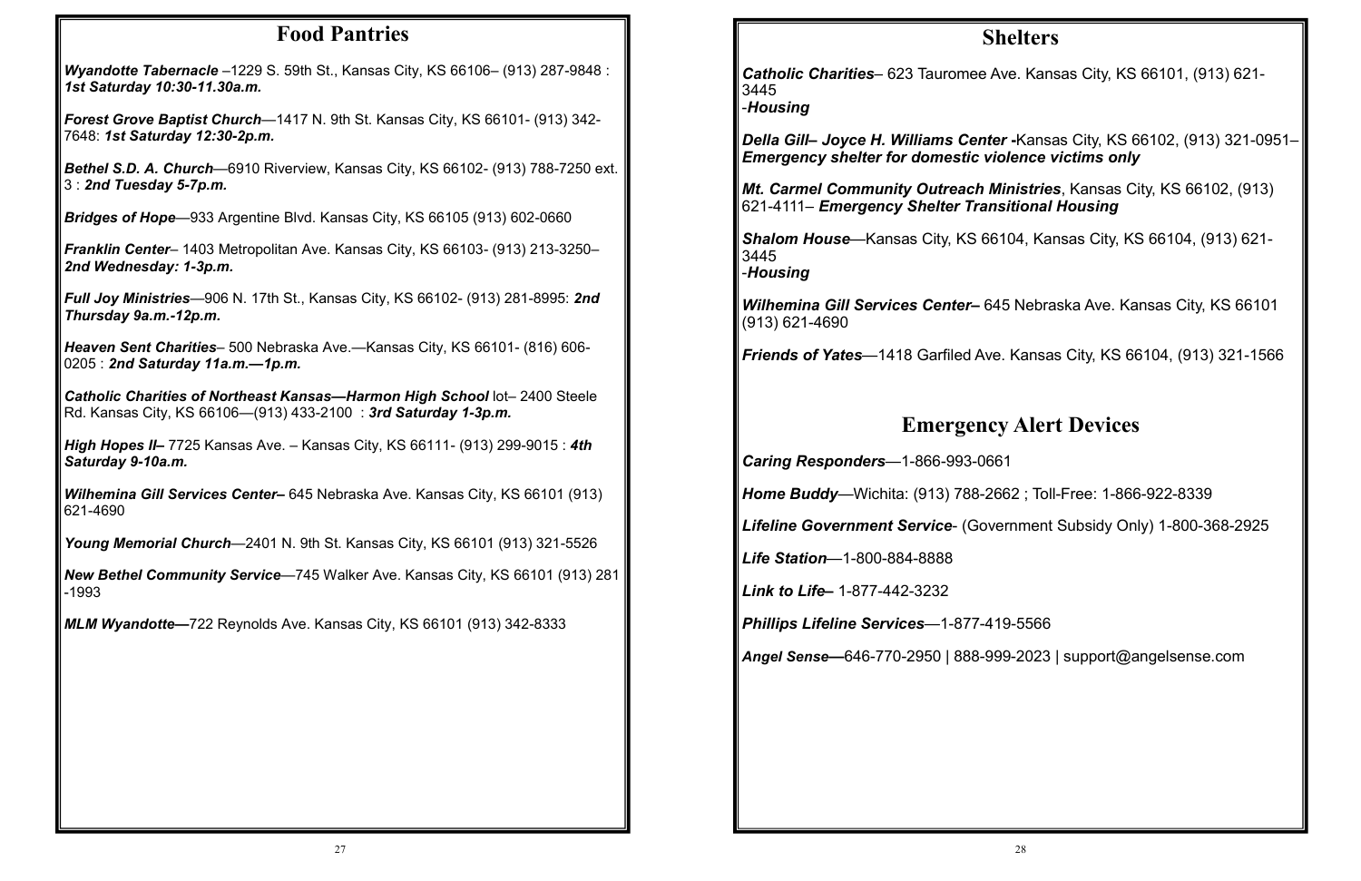### **Food Pantries**

| <b>Wyandotte Tabernacle</b> $-1229$ S. 59th St., Kansas City, KS 66106 $-$ (913) 287-9848 : |  |
|---------------------------------------------------------------------------------------------|--|
| 1st Saturday 10:30-11.30a.m.                                                                |  |

*Forest Grove Baptist Church*—1417 N. 9th St. Kansas City, KS 66101- (913) 342- 7648: *1st Saturday 12:30-2p.m.*

*Bethel S.D. A. Church*—6910 Riverview, Kansas City, KS 66102- (913) 788-7250 ext. 3 : *2nd Tuesday 5-7p.m.*

*Bridges of Hope*—933 Argentine Blvd. Kansas City, KS 66105 (913) 602-0660

**Catholic Charities of Northeast Kansas—Harmon High School lot– 2400 Steele** Rd. Kansas City, KS 66106—(913) 433-2100 : *3rd Saturday 1-3p.m.* 

*Franklin Center*– 1403 Metropolitan Ave. Kansas City, KS 66103- (913) 213-3250– *2nd Wednesday: 1-3p.m.* 

*Full Joy Ministries*—906 N. 17th St., Kansas City, KS 66102- (913) 281-8995: *2nd Thursday 9a.m.-12p.m.* 

*Heaven Sent Charities*– 500 Nebraska Ave.—Kansas City, KS 66101- (816) 606- 0205 : *2nd Saturday 11a.m.—1p.m.* 

*High Hopes II–* 7725 Kansas Ave. – Kansas City, KS 66111- (913) 299-9015 : *4th Saturday 9-10a.m.* 

*Wilhemina Gill Services Center–* 645 Nebraska Ave. Kansas City, KS 66101 (913) 621-4690

*Young Memorial Church*—2401 N. 9th St. Kansas City, KS 66101 (913) 321-5526

*New Bethel Community Service*—745 Walker Ave. Kansas City, KS 66101 (913) 281 -1993

*MLM Wyandotte—*722 Reynolds Ave. Kansas City, KS 66101 (913) 342-8333

# **Shelters**

*Catholic Charities*– 623 Tauromee Ave. Kansas City, KS 66101, (913) 621- 3445 -*Housing* 

*Della Gill– Joyce H. Williams Center* **-**Kansas City, KS 66102, (913) 321-0951– *Emergency shelter for domestic violence victims only* 

*Mt. Carmel Community Outreach Ministries*, Kansas City, KS 66102, (913) 621-4111– *Emergency Shelter Transitional Housing* 

*Shalom House*—Kansas City, KS 66104, Kansas City, KS 66104, (913) 621- 3445 -*Housing* 

*Wilhemina Gill Services Center–* 645 Nebraska Ave. Kansas City, KS 66101 (913) 621-4690

*Friends of Yates*—1418 Garfiled Ave. Kansas City, KS 66104, (913) 321-1566

# **Emergency Alert Devices**

*Caring Responders*—1-866-993-0661

*Home Buddy*—Wichita: (913) 788-2662 ; Toll-Free: 1-866-922-8339

*Lifeline Government Service*- (Government Subsidy Only) 1-800-368-2925

*Life Station*—1-800-884-8888

*Link to Life–* 1-877-442-3232

*Phillips Lifeline Services*—1-877-419-5566

*Angel Sense—*646-770-2950 | 888-999-2023 | support@angelsense.com